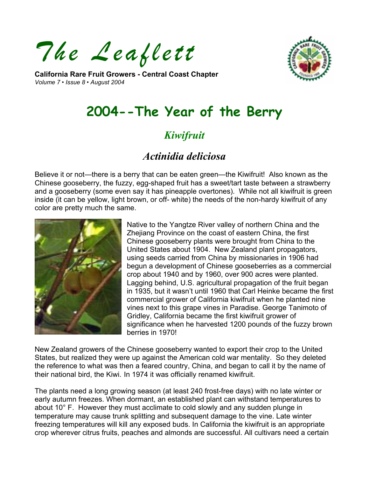*The Leaflett* 

**California Rare Fruit Growers - Central Coast Chapter**  *Volume 7 • Issue 8 • August 2004* 



# **2004--The Year of the Berry**

## *Kiwifruit*

## *Actinidia deliciosa*

Believe it or not—there is a berry that can be eaten green—the Kiwifruit! Also known as the Chinese gooseberry, the fuzzy, egg-shaped fruit has a sweet/tart taste between a strawberry and a gooseberry (some even say it has pineapple overtones). While not all kiwifruit is green inside (it can be yellow, light brown, or off- white) the needs of the non-hardy kiwifruit of any color are pretty much the same.



Native to the Yangtze River valley of northern China and the Zhejiang Province on the coast of eastern China, the first Chinese gooseberry plants were brought from China to the United States about 1904. New Zealand plant propagators, using seeds carried from China by missionaries in 1906 had begun a development of Chinese gooseberries as a commercial crop about 1940 and by 1960, over 900 acres were planted. Lagging behind, U.S. agricultural propagation of the fruit began in 1935, but it wasn't until 1960 that Carl Heinke became the first commercial grower of California kiwifruit when he planted nine vines next to this grape vines in Paradise. George Tanimoto of Gridley, California became the first kiwifruit grower of significance when he harvested 1200 pounds of the fuzzy brown berries in 1970!

New Zealand growers of the Chinese gooseberry wanted to export their crop to the United States, but realized they were up against the American cold war mentality. So they deleted the reference to what was then a feared country, China, and began to call it by the name of their national bird, the Kiwi. In 1974 it was officially renamed kiwifruit.

The plants need a long growing season (at least 240 frost-free days) with no late winter or early autumn freezes. When dormant, an established plant can withstand temperatures to about 10° F. However they must acclimate to cold slowly and any sudden plunge in temperature may cause trunk splitting and subsequent damage to the vine. Late winter freezing temperatures will kill any exposed buds. In California the kiwifruit is an appropriate crop wherever citrus fruits, peaches and almonds are successful. All cultivars need a certain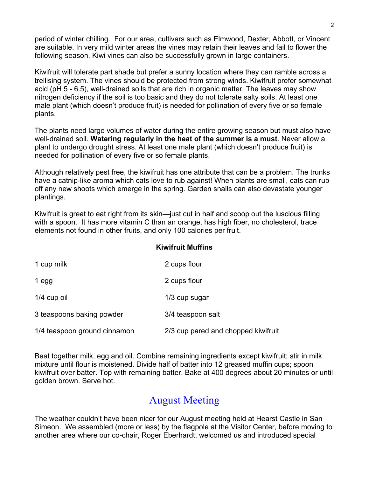period of winter chilling. For our area, cultivars such as Elmwood, Dexter, Abbott, or Vincent are suitable. In very mild winter areas the vines may retain their leaves and fail to flower the following season. Kiwi vines can also be successfully grown in large containers.

Kiwifruit will tolerate part shade but prefer a sunny location where they can ramble across a trellising system. The vines should be protected from strong winds. Kiwifruit prefer somewhat acid (pH 5 - 6.5), well-drained soils that are rich in organic matter. The leaves may show nitrogen deficiency if the soil is too basic and they do not tolerate salty soils. At least one male plant (which doesn't produce fruit) is needed for pollination of every five or so female plants.

The plants need large volumes of water during the entire growing season but must also have well-drained soil. **Watering regularly in the heat of the summer is a must**. Never allow a plant to undergo drought stress. At least one male plant (which doesn't produce fruit) is needed for pollination of every five or so female plants.

Although relatively pest free, the kiwifruit has one attribute that can be a problem. The trunks have a catnip-like aroma which cats love to rub against! When plants are small, cats can rub off any new shoots which emerge in the spring. Garden snails can also devastate younger plantings.

Kiwifruit is great to eat right from its skin—just cut in half and scoop out the luscious filling with a spoon. It has more vitamin C than an orange, has high fiber, no cholesterol, trace elements not found in other fruits, and only 100 calories per fruit.

#### **Kiwifruit Muffins**

| 1 cup milk                   | 2 cups flour                        |
|------------------------------|-------------------------------------|
| 1 egg                        | 2 cups flour                        |
| 1/4 cup oil                  | 1/3 cup sugar                       |
| 3 teaspoons baking powder    | 3/4 teaspoon salt                   |
| 1/4 teaspoon ground cinnamon | 2/3 cup pared and chopped kiwifruit |

Beat together milk, egg and oil. Combine remaining ingredients except kiwifruit; stir in milk mixture until flour is moistened. Divide half of batter into 12 greased muffin cups; spoon kiwifruit over batter. Top with remaining batter. Bake at 400 degrees about 20 minutes or until golden brown. Serve hot.

#### August Meeting

The weather couldn't have been nicer for our August meeting held at Hearst Castle in San Simeon. We assembled (more or less) by the flagpole at the Visitor Center, before moving to another area where our co-chair, Roger Eberhardt, welcomed us and introduced special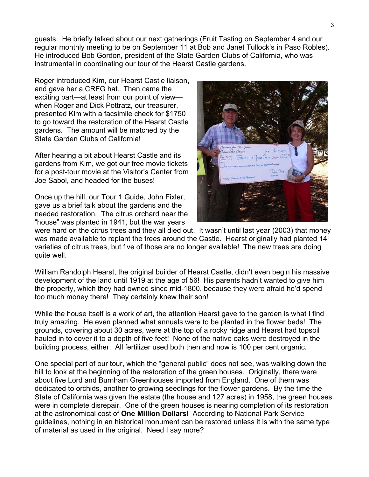guests. He briefly talked about our next gatherings (Fruit Tasting on September 4 and our regular monthly meeting to be on September 11 at Bob and Janet Tullock's in Paso Robles). He introduced Bob Gordon, president of the State Garden Clubs of California, who was instrumental in coordinating our tour of the Hearst Castle gardens.

Roger introduced Kim, our Hearst Castle liaison, and gave her a CRFG hat. Then came the exciting part—at least from our point of view when Roger and Dick Pottratz, our treasurer, presented Kim with a facsimile check for \$1750 to go toward the restoration of the Hearst Castle gardens. The amount will be matched by the State Garden Clubs of California!

After hearing a bit about Hearst Castle and its gardens from Kim, we got our free movie tickets for a post-tour movie at the Visitor's Center from Joe Sabol, and headed for the buses!

Once up the hill, our Tour 1 Guide, John Fixler, gave us a brief talk about the gardens and the needed restoration. The citrus orchard near the "house" was planted in 1941, but the war years



were hard on the citrus trees and they all died out. It wasn't until last year (2003) that money was made available to replant the trees around the Castle. Hearst originally had planted 14 varieties of citrus trees, but five of those are no longer available! The new trees are doing quite well.

William Randolph Hearst, the original builder of Hearst Castle, didn't even begin his massive development of the land until 1919 at the age of 56! His parents hadn't wanted to give him the property, which they had owned since mid-1800, because they were afraid he'd spend too much money there! They certainly knew their son!

While the house itself is a work of art, the attention Hearst gave to the garden is what I find truly amazing. He even planned what annuals were to be planted in the flower beds! The grounds, covering about 30 acres, were at the top of a rocky ridge and Hearst had topsoil hauled in to cover it to a depth of five feet! None of the native oaks were destroyed in the building process, either. All fertilizer used both then and now is 100 per cent organic.

One special part of our tour, which the "general public" does not see, was walking down the hill to look at the beginning of the restoration of the green houses. Originally, there were about five Lord and Burnham Greenhouses imported from England. One of them was dedicated to orchids, another to growing seedlings for the flower gardens. By the time the State of California was given the estate (the house and 127 acres) in 1958, the green houses were in complete disrepair. One of the green houses is nearing completion of its restoration at the astronomical cost of **One Million Dollars**! According to National Park Service guidelines, nothing in an historical monument can be restored unless it is with the same type of material as used in the original. Need I say more?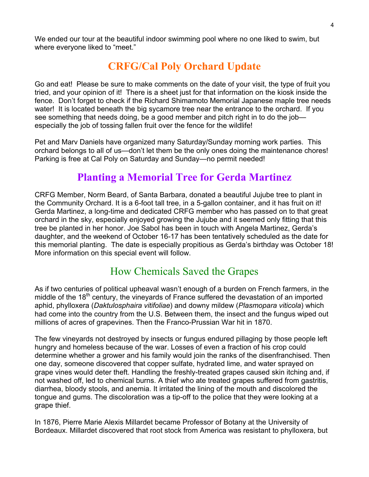We ended our tour at the beautiful indoor swimming pool where no one liked to swim, but where everyone liked to "meet."

## **CRFG/Cal Poly Orchard Update**

Go and eat! Please be sure to make comments on the date of your visit, the type of fruit you tried, and your opinion of it! There is a sheet just for that information on the kiosk inside the fence. Don't forget to check if the Richard Shimamoto Memorial Japanese maple tree needs water! It is located beneath the big sycamore tree near the entrance to the orchard. If you see something that needs doing, be a good member and pitch right in to do the job especially the job of tossing fallen fruit over the fence for the wildlife!

Pet and Marv Daniels have organized many Saturday/Sunday morning work parties. This orchard belongs to all of us—don't let them be the only ones doing the maintenance chores! Parking is free at Cal Poly on Saturday and Sunday—no permit needed!

### **Planting a Memorial Tree for Gerda Martinez**

CRFG Member, Norm Beard, of Santa Barbara, donated a beautiful Jujube tree to plant in the Community Orchard. It is a 6-foot tall tree, in a 5-gallon container, and it has fruit on it! Gerda Martinez, a long-time and dedicated CRFG member who has passed on to that great orchard in the sky, especially enjoyed growing the Jujube and it seemed only fitting that this tree be planted in her honor. Joe Sabol has been in touch with Angela Martinez, Gerda's daughter, and the weekend of October 16-17 has been tentatively scheduled as the date for this memorial planting. The date is especially propitious as Gerda's birthday was October 18! More information on this special event will follow.

#### How Chemicals Saved the Grapes

As if two centuries of political upheaval wasn't enough of a burden on French farmers, in the middle of the 18<sup>th</sup> century, the vineyards of France suffered the devastation of an imported aphid, phylloxera (*Daktulosphaira vitifoliae*) and downy mildew (*Plasmopara viticola*) which had come into the country from the U.S. Between them, the insect and the fungus wiped out millions of acres of grapevines. Then the Franco-Prussian War hit in 1870.

The few vineyards not destroyed by insects or fungus endured pillaging by those people left hungry and homeless because of the war. Losses of even a fraction of his crop could determine whether a grower and his family would join the ranks of the disenfranchised. Then one day, someone discovered that copper sulfate, hydrated lime, and water sprayed on grape vines would deter theft. Handling the freshly-treated grapes caused skin itching and, if not washed off, led to chemical burns. A thief who ate treated grapes suffered from gastritis, diarrhea, bloody stools, and anemia. It irritated the lining of the mouth and discolored the tongue and gums. The discoloration was a tip-off to the police that they were looking at a grape thief.

In 1876, Pierre Marie Alexis Millardet became Professor of Botany at the University of Bordeaux. Millardet discovered that root stock from America was resistant to phylloxera, but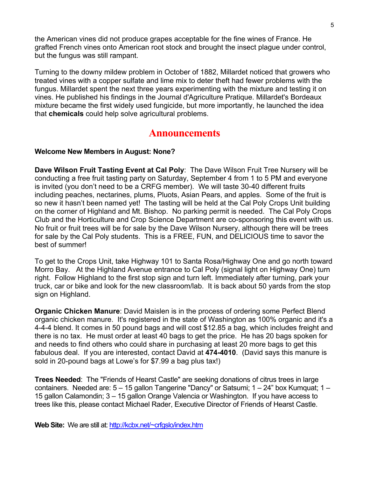the American vines did not produce grapes acceptable for the fine wines of France. He grafted French vines onto American root stock and brought the insect plague under control, but the fungus was still rampant.

Turning to the downy mildew problem in October of 1882, Millardet noticed that growers who treated vines with a copper sulfate and lime mix to deter theft had fewer problems with the fungus. Millardet spent the next three years experimenting with the mixture and testing it on vines. He published his findings in the Journal d'Agriculture Pratique. Millardet's Bordeaux mixture became the first widely used fungicide, but more importantly, he launched the idea that **chemicals** could help solve agricultural problems.

#### **Announcements**

#### **Welcome New Members in August: None?**

**Dave Wilson Fruit Tasting Event at Cal Poly**: The Dave Wilson Fruit Tree Nursery will be conducting a free fruit tasting party on Saturday, September 4 from 1 to 5 PM and everyone is invited (you don't need to be a CRFG member). We will taste 30-40 different fruits including peaches, nectarines, plums, Pluots, Asian Pears, and apples. Some of the fruit is so new it hasn't been named yet! The tasting will be held at the Cal Poly Crops Unit building on the corner of Highland and Mt. Bishop. No parking permit is needed. The Cal Poly Crops Club and the Horticulture and Crop Science Department are co-sponsoring this event with us. No fruit or fruit trees will be for sale by the Dave Wilson Nursery, although there will be trees for sale by the Cal Poly students. This is a FREE, FUN, and DELICIOUS time to savor the best of summer!

To get to the Crops Unit, take Highway 101 to Santa Rosa/Highway One and go north toward Morro Bay. At the Highland Avenue entrance to Cal Poly (signal light on Highway One) turn right. Follow Highland to the first stop sign and turn left. Immediately after turning, park your truck, car or bike and look for the new classroom/lab. It is back about 50 yards from the stop sign on Highland.

**Organic Chicken Manure**: David Maislen is in the process of ordering some Perfect Blend organic chicken manure. It's registered in the state of Washington as 100% organic and it's a 4-4-4 blend. It comes in 50 pound bags and will cost \$12.85 a bag, which includes freight and there is no tax. He must order at least 40 bags to get the price. He has 20 bags spoken for and needs to find others who could share in purchasing at least 20 more bags to get this fabulous deal. If you are interested, contact David at **474-4010**. (David says this manure is sold in 20-pound bags at Lowe's for \$7.99 a bag plus tax!)

**Trees Needed**: The "Friends of Hearst Castle" are seeking donations of citrus trees in large containers. Needed are: 5 – 15 gallon Tangerine "Dancy" or Satsumi; 1 – 24" box Kumquat; 1 – 15 gallon Calamondin; 3 – 15 gallon Orange Valencia or Washington. If you have access to trees like this, please contact Michael Rader, Executive Director of Friends of Hearst Castle.

**Web Site:** We are still at:<http://kcbx.net/~crfgslo/index.htm>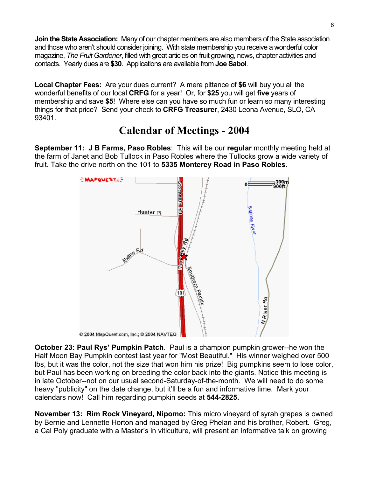**Join the State Association:** Many of our chapter members are also members of the State association and those who aren't should consider joining. With state membership you receive a wonderful color magazine, *The Fruit Gardener*, filled with great articles on fruit growing, news, chapter activities and contacts. Yearly dues are **\$30**. Applications are available from **Joe Sabol**.

**Local Chapter Fees:** Are your dues current?A mere pittance of **\$6** will buy you all the wonderful benefits of our local **CRFG** for a year! Or, for **\$25** you will get **five** years of membership and save **\$5**! Where else can you have so much fun or learn so many interesting things for that price? Send your check to **CRFG Treasurer**, 2430 Leona Avenue, SLO, CA 93401.

## **Calendar of Meetings - 2004**

**September 11: J B Farms, Paso Robles**: This will be our **regular** monthly meeting held at the farm of Janet and Bob Tullock in Paso Robles where the Tullocks grow a wide variety of fruit. Take the drive north on the 101 to **5335 Monterey Road in Paso Robles**.



**October 23: Paul Rys' Pumpkin Patch**. Paul is a champion pumpkin grower--he won the Half Moon Bay Pumpkin contest last year for "Most Beautiful." His winner weighed over 500 lbs, but it was the color, not the size that won him his prize! Big pumpkins seem to lose color, but Paul has been working on breeding the color back into the giants. Notice this meeting is in late October--not on our usual second-Saturday-of-the-month. We will need to do some heavy "publicity" on the date change, but it'll be a fun and informative time. Mark your calendars now! Call him regarding pumpkin seeds at **544-2825.** 

**November 13: Rim Rock Vineyard, Nipomo:** This micro vineyard of syrah grapes is owned by Bernie and Lennette Horton and managed by Greg Phelan and his brother, Robert. Greg, a Cal Poly graduate with a Master's in viticulture, will present an informative talk on growing